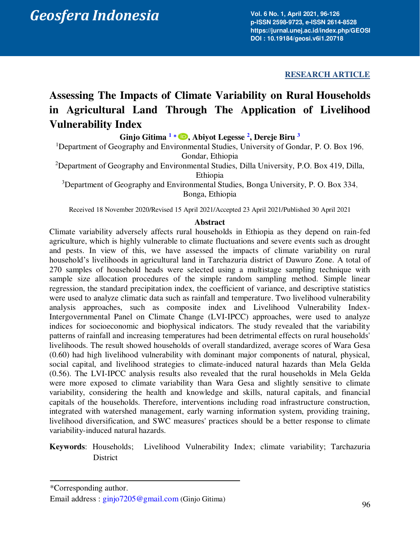# Geosfera Indonesia 6 (1), 201.6 No. 1, April 20

**Vol. 6 No. 1, April 2021, 96-126 p-ISSN 2598-9723, e-ISSN 2614-8528 https://jurnal.unej.ac.id/index.php/GEOSI DOI : 10.19184/geosi.v6i1.20718**

# **RESEARCH ARTICLE**

# **Assessing The Impacts of Climate Variability on Rural Households in Agricultural Land Through The Application of Livelihood Vulnerability Index**

**Ginjo Gitima [1](#page-0-0)** [\\*](#page-0-1) **, Abiyot Legesse [2](#page-0-2) , Dereje Biru [3](#page-0-3)**

<span id="page-0-0"></span><sup>1</sup>Department of Geography and Environmental Studies, University of Gondar, P. O. Box 196, Gondar, Ethiopia

<span id="page-0-2"></span><sup>2</sup>Department of Geography and Environmental Studies, Dilla University, P.O. Box 419, Dilla, Ethiopia

<span id="page-0-3"></span><sup>3</sup>Department of Geography and Environmental Studies, Bonga University, P. O. Box 334, Bonga, Ethiopia

Received 18 November 2020/Revised 15 April 2021/Accepted 23 April 2021/Published 30 April 2021

#### **Abstract**

Climate variability adversely affects rural households in Ethiopia as they depend on rain-fed agriculture, which is highly vulnerable to climate fluctuations and severe events such as drought and pests. In view of this, we have assessed the impacts of climate variability on rural household's livelihoods in agricultural land in Tarchazuria district of Dawuro Zone. A total of 270 samples of household heads were selected using a multistage sampling technique with sample size allocation procedures of the simple random sampling method. Simple linear regression, the standard precipitation index, the coefficient of variance, and descriptive statistics were used to analyze climatic data such as rainfall and temperature. Two livelihood vulnerability analysis approaches, such as composite index and Livelihood Vulnerability Index-Intergovernmental Panel on Climate Change (LVI-IPCC) approaches, were used to analyze indices for socioeconomic and biophysical indicators. The study revealed that the variability patterns of rainfall and increasing temperatures had been detrimental effects on rural households' livelihoods. The result showed households of overall standardized, average scores of Wara Gesa (0.60) had high livelihood vulnerability with dominant major components of natural, physical, social capital, and livelihood strategies to climate-induced natural hazards than Mela Gelda (0.56). The LVI-IPCC analysis results also revealed that the rural households in Mela Gelda were more exposed to climate variability than Wara Gesa and slightly sensitive to climate variability, considering the health and knowledge and skills, natural capitals, and financial capitals of the households. Therefore, interventions including road infrastructure construction, integrated with watershed management, early warning information system, providing training, livelihood diversification, and SWC measures' practices should be a better response to climate variability-induced natural hazards.

**Keywords**: Households; Livelihood Vulnerability Index; climate variability; Tarchazuria District

<span id="page-0-1"></span><sup>\*</sup>Corresponding author.

Email address : [ginjo7205@gmail.com](mailto:ginjo7205@gmail.com) (Ginjo Gitima)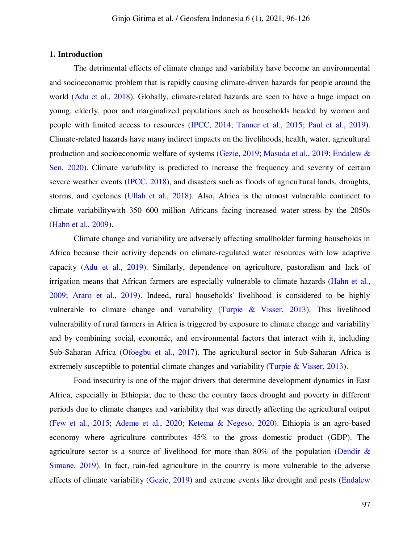#### **1. Introduction**

The detrimental effects of climate change and variability have become an environmental and socioeconomic problem that is rapidly causing climate-driven hazards for people around the world [\(Adu et al., 2018\)](#page-26-0). Globally, climate-related hazards are seen to have a huge impact on young, elderly, poor and marginalized populations such as households headed by women and people with limited access to resources [\(IPCC, 2014;](#page-28-0) [Tanner et al., 2015;](#page-29-0) [Paul et al., 2019\)](#page-29-1). Climate-related hazards have many indirect impacts on the livelihoods, health, water, agricultural production and socioeconomic welfare of systems (Gezie, 2019; [Masuda et al., 2019;](#page-28-1) [Endalew &](#page-27-0)  [Sen, 2020\)](#page-27-0). Climate variability is predicted to increase the frequency and severity of certain severe weather events [\(IPCC, 2018\)](#page-28-2), and disasters such as floods of agricultural lands, droughts, storms, and cyclones [\(Ullah et al., 2018\)](#page-30-0). Also, Africa is the utmost vulnerable continent to climate variabilitywith 350–600 million Africans facing increased water stress by the 2050s [\(Hahn et al., 2009\)](#page-28-3).

Climate change and variability are adversely affecting smallholder farming households in Africa because their activity depends on climate-regulated water resources with low adaptive capacity [\(Adu et al., 2019\)](#page-26-0). Similarly, dependence on agriculture, pastoralism and lack of irrigation means that African farmers are especially vulnerable to climate hazards [\(Hahn et al.,](#page-28-3)  [2009;](#page-28-3) [Araro et al., 2019\)](#page-26-1). Indeed, rural households' livelihood is considered to be highly vulnerable to climate change and variability (Turpie  $\&$  Visser, 2013). This livelihood vulnerability of rural farmers in Africa is triggered by exposure to climate change and variability and by combining social, economic, and environmental factors that interact with it, including Sub-Saharan Africa [\(Ofoegbu et al., 2017\)](#page-29-2). The agricultural sector in Sub-Saharan Africa is extremely susceptible to potential climate changes and variability [\(Turpie & Visser, 2013\)](#page-30-1).

<span id="page-1-1"></span><span id="page-1-0"></span>Food insecurity is one of the major drivers that determine development dynamics in East Africa, especially in Ethiopia; due to these the country faces drought and poverty in different periods due to climate changes and variability that was directly affecting the agricultural output [\(Few et al., 2015;](#page-27-1) [Ademe et al., 2020;](#page-26-2) [Ketema & Negeso, 2020\)](#page-1-0). Ethiopia is an agro-based economy where agriculture contributes 45% to the gross domestic product (GDP). The agriculture sector is a source of livelihood for more than 80% of the population (Dendir  $\&$ [Simane, 2019\)](#page-27-2). In fact, rain-fed agriculture in the country is more vulnerable to the adverse effects of climate variability [\(Gezie, 2019\)](#page-27-3) and extreme events like drought and pests [\(Endalew](#page-27-0)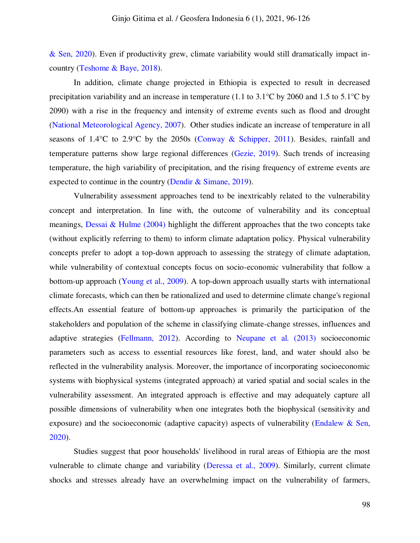[& Sen, 2020\)](#page-27-0). Even if productivity grew, climate variability would still dramatically impact incountry [\(Teshome & Baye, 2018\)](#page-26-3).

In addition, climate change projected in Ethiopia is expected to result in decreased precipitation variability and an increase in temperature (1.1 to 3.1°C by 2060 and 1.5 to 5.1°C by 2090) with a rise in the frequency and intensity of extreme events such as flood and drought [\(National Meteorological Agency, 2007\)](#page-29-3). Other studies indicate an increase of temperature in all seasons of 1.4°C to 2.9°C by the 2050s [\(Conway & Schipper, 2011\)](#page-27-4). Besides, rainfall and temperature patterns show large regional differences [\(Gezie, 2019\)](#page-27-3). Such trends of increasing temperature, the high variability of precipitation, and the rising frequency of extreme events are expected to continue in the country [\(Dendir & Simane, 2019\)](#page-27-2).

Vulnerability assessment approaches tend to be inextricably related to the vulnerability concept and interpretation. In line with, the outcome of vulnerability and its conceptual meanings, [Dessai & Hulme \(2004\)](#page-27-5) highlight the different approaches that the two concepts take (without explicitly referring to them) to inform climate adaptation policy. Physical vulnerability concepts prefer to adopt a top-down approach to assessing the strategy of climate adaptation, while vulnerability of contextual concepts focus on socio-economic vulnerability that follow a bottom-up approach [\(Young et al., 2009\)](#page-30-2). A top-down approach usually starts with international climate forecasts, which can then be rationalized and used to determine climate change's regional effects.An essential feature of bottom-up approaches is primarily the participation of the stakeholders and population of the scheme in classifying climate-change stresses, influences and adaptive strategies [\(Fellmann, 2012\)](#page-27-6). According to [Neupane et al. \(2013\)](#page-29-4) socioeconomic parameters such as access to essential resources like forest, land, and water should also be reflected in the vulnerability analysis. Moreover, the importance of incorporating socioeconomic systems with biophysical systems (integrated approach) at varied spatial and social scales in the vulnerability assessment. An integrated approach is effective and may adequately capture all possible dimensions of vulnerability when one integrates both the biophysical (sensitivity and exposure) and the socioeconomic (adaptive capacity) aspects of vulnerability (Endalew & Sen, [2020\)](#page-27-0).

Studies suggest that poor households' livelihood in rural areas of Ethiopia are the most vulnerable to climate change and variability [\(Deressa et al., 2009\)](#page-27-7). Similarly, current climate shocks and stresses already have an overwhelming impact on the vulnerability of farmers,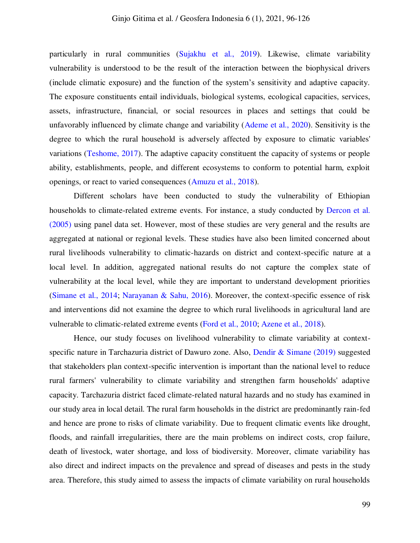particularly in rural communities [\(Sujakhu et al., 2019\)](#page-29-5). Likewise, climate variability vulnerability is understood to be the result of the interaction between the biophysical drivers (include climatic exposure) and the function of the system's sensitivity and adaptive capacity. The exposure constituents entail individuals, biological systems, ecological capacities, services, assets, infrastructure, financial, or social resources in places and settings that could be unfavorably influenced by climate change and variability [\(Ademe et al., 2020\)](#page-26-2). Sensitivity is the degree to which the rural household is adversely affected by exposure to climatic variables' variations [\(Teshome, 2017\)](#page-30-3). The adaptive capacity constituent the capacity of systems or people ability, establishments, people, and different ecosystems to conform to potential harm, exploit openings, or react to varied consequences [\(Amuzu et al., 2018\)](#page-26-4).

Different scholars have been conducted to study the vulnerability of Ethiopian households to climate-related extreme events. For instance, a study conducted by [Dercon et al.](#page-27-8)  [\(2005\)](#page-27-8) using panel data set. However, most of these studies are very general and the results are aggregated at national or regional levels. These studies have also been limited concerned about rural livelihoods vulnerability to climatic-hazards on district and context-specific nature at a local level. In addition, aggregated national results do not capture the complex state of vulnerability at the local level, while they are important to understand development priorities [\(Simane et al., 2014;](#page-29-6) [Narayanan & Sahu, 2016\)](#page-29-7). Moreover, the context-specific essence of risk and interventions did not examine the degree to which rural livelihoods in agricultural land are vulnerable to climatic-related extreme events [\(Ford et al., 2010;](#page-27-9) [Azene et al., 2018\)](#page-26-5).

Hence, our study focuses on livelihood vulnerability to climate variability at contextspecific nature in Tarchazuria district of Dawuro zone. Also, [Dendir & Simane \(2019\)](#page-27-2) suggested that stakeholders plan context-specific intervention is important than the national level to reduce rural farmers' vulnerability to climate variability and strengthen farm households' adaptive capacity. Tarchazuria district faced climate-related natural hazards and no study has examined in our study area in local detail. The rural farm households in the district are predominantly rain-fed and hence are prone to risks of climate variability. Due to frequent climatic events like drought, floods, and rainfall irregularities, there are the main problems on indirect costs, crop failure, death of livestock, water shortage, and loss of biodiversity. Moreover, climate variability has also direct and indirect impacts on the prevalence and spread of diseases and pests in the study area. Therefore, this study aimed to assess the impacts of climate variability on rural households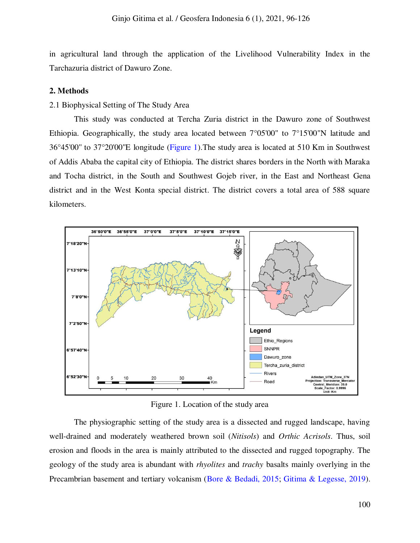in agricultural land through the application of the Livelihood Vulnerability Index in the Tarchazuria district of Dawuro Zone.

### **2. Methods**

#### 2.1 Biophysical Setting of The Study Area

This study was conducted at Tercha Zuria district in the Dawuro zone of Southwest Ethiopia. Geographically, the study area located between 7°05'00" to 7°15'00"N latitude and 36°45'00'' to 37°20'00''E longitude [\(Figure 1\)](#page-4-0).The study area is located at 510 Km in Southwest of Addis Ababa the capital city of Ethiopia. The district shares borders in the North with Maraka and Tocha district, in the South and Southwest Gojeb river, in the East and Northeast Gena district and in the West Konta special district. The district covers a total area of 588 square kilometers.



Figure 1. Location of the study area

<span id="page-4-0"></span>The physiographic setting of the study area is a dissected and rugged landscape, having well-drained and moderately weathered brown soil (*Nitisols*) and *Orthic Acrisols*. Thus, soil erosion and floods in the area is mainly attributed to the dissected and rugged topography. The geology of the study area is abundant with *rhyolites* and *trachy* basalts mainly overlying in the Precambrian basement and tertiary volcanism [\(Bore & Bedadi, 2015;](#page-26-6) [Gitima & Legesse, 2019\)](#page-28-4).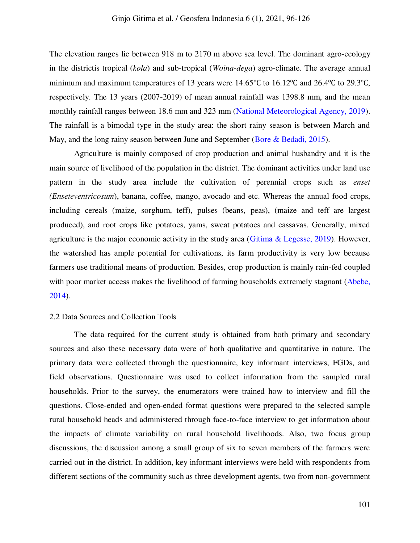The elevation ranges lie between 918 m to 2170 m above sea level. The dominant agro-ecology in the districtis tropical (*kola*) and sub-tropical (*Woina-dega*) agro-climate. The average annual minimum and maximum temperatures of 13 years were 14.65℃ to 16.12℃ and 26.4℃ to 29.3℃, respectively. The 13 years (2007-2019) of mean annual rainfall was 1398.8 mm, and the mean monthly rainfall ranges between 18.6 mm and 323 mm [\(National Meteorological Agency, 2019\)](#page-29-8). The rainfall is a bimodal type in the study area: the short rainy season is between March and May, and the long rainy season between June and September [\(Bore & Bedadi, 2015\)](#page-26-6).

Agriculture is mainly composed of crop production and animal husbandry and it is the main source of livelihood of the population in the district. The dominant activities under land use pattern in the study area include the cultivation of perennial crops such as *enset (Enseteventricosum*), banana, coffee, mango, avocado and etc. Whereas the annual food crops, including cereals (maize, sorghum, teff), pulses (beans, peas), (maize and teff are largest produced), and root crops like potatoes, yams, sweat potatoes and cassavas. Generally, mixed agriculture is the major economic activity in the study area (Gitima  $\&$  Legesse, 2019). However, the watershed has ample potential for cultivations, its farm productivity is very low because farmers use traditional means of production. Besides, crop production is mainly rain-fed coupled with poor market access makes the livelihood of farming households extremely stagnant (Abebe, [2014\)](#page-26-7).

# 2.2 Data Sources and Collection Tools

The data required for the current study is obtained from both primary and secondary sources and also these necessary data were of both qualitative and quantitative in nature. The primary data were collected through the questionnaire, key informant interviews, FGDs, and field observations. Questionnaire was used to collect information from the sampled rural households. Prior to the survey, the enumerators were trained how to interview and fill the questions. Close-ended and open-ended format questions were prepared to the selected sample rural household heads and administered through face-to-face interview to get information about the impacts of climate variability on rural household livelihoods. Also, two focus group discussions, the discussion among a small group of six to seven members of the farmers were carried out in the district. In addition, key informant interviews were held with respondents from different sections of the community such as three development agents, two from non-government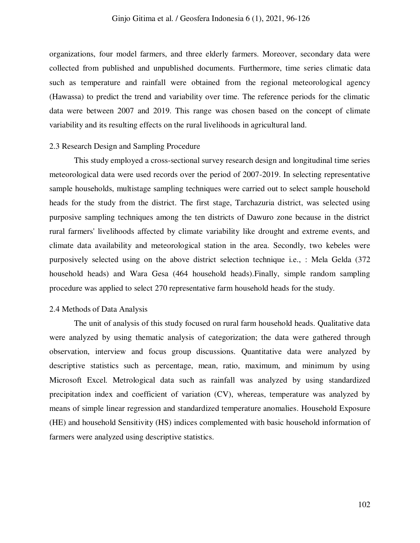organizations, four model farmers, and three elderly farmers. Moreover, secondary data were collected from published and unpublished documents. Furthermore, time series climatic data such as temperature and rainfall were obtained from the regional meteorological agency (Hawassa) to predict the trend and variability over time. The reference periods for the climatic data were between 2007 and 2019. This range was chosen based on the concept of climate variability and its resulting effects on the rural livelihoods in agricultural land.

#### 2.3 Research Design and Sampling Procedure

This study employed a cross-sectional survey research design and longitudinal time series meteorological data were used records over the period of 2007-2019. In selecting representative sample households, multistage sampling techniques were carried out to select sample household heads for the study from the district. The first stage, Tarchazuria district, was selected using purposive sampling techniques among the ten districts of Dawuro zone because in the district rural farmers' livelihoods affected by climate variability like drought and extreme events, and climate data availability and meteorological station in the area. Secondly, two kebeles were purposively selected using on the above district selection technique i.e., : Mela Gelda (372 household heads) and Wara Gesa (464 household heads).Finally, simple random sampling procedure was applied to select 270 representative farm household heads for the study.

# 2.4 Methods of Data Analysis

The unit of analysis of this study focused on rural farm household heads. Qualitative data were analyzed by using thematic analysis of categorization; the data were gathered through observation, interview and focus group discussions. Quantitative data were analyzed by descriptive statistics such as percentage, mean, ratio, maximum, and minimum by using Microsoft Excel. Metrological data such as rainfall was analyzed by using standardized precipitation index and coefficient of variation (CV), whereas, temperature was analyzed by means of simple linear regression and standardized temperature anomalies. Household Exposure (HE) and household Sensitivity (HS) indices complemented with basic household information of farmers were analyzed using descriptive statistics.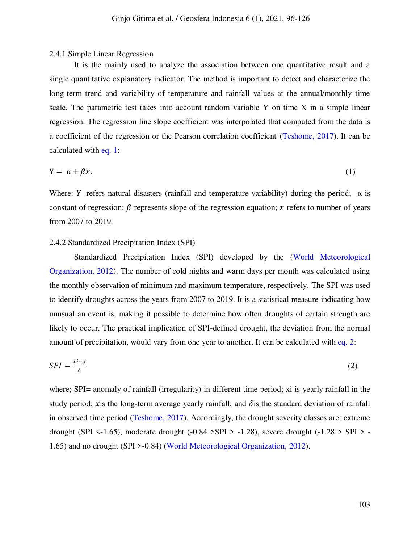#### 2.4.1 Simple Linear Regression

It is the mainly used to analyze the association between one quantitative result and a single quantitative explanatory indicator. The method is important to detect and characterize the long-term trend and variability of temperature and rainfall values at the annual/monthly time scale. The parametric test takes into account random variable Y on time X in a simple linear regression. The regression line slope coefficient was interpolated that computed from the data is a coefficient of the regression or the Pearson correlation coefficient [\(Teshome, 2017\)](#page-30-3). It can be calculated with [eq. 1:](#page-7-0)

<span id="page-7-0"></span>
$$
Y = \alpha + \beta x. \tag{1}
$$

Where: Y refers natural disasters (rainfall and temperature variability) during the period;  $\alpha$  is constant of regression;  $\beta$  represents slope of the regression equation; x refers to number of years from 2007 to 2019.

#### 2.4.2 Standardized Precipitation Index (SPI)

Standardized Precipitation Index (SPI) developed by the [\(World Meteorological](#page-30-4)  [Organization, 2012\)](#page-30-4). The number of cold nights and warm days per month was calculated using the monthly observation of minimum and maximum temperature, respectively. The SPI was used to identify droughts across the years from 2007 to 2019. It is a statistical measure indicating how unusual an event is, making it possible to determine how often droughts of certain strength are likely to occur. The practical implication of SPI-defined drought, the deviation from the normal amount of precipitation, would vary from one year to another. It can be calculated with [eq. 2:](#page-7-1)

<span id="page-7-1"></span>
$$
SPI = \frac{xi - \bar{x}}{\delta} \tag{2}
$$

where; SPI= anomaly of rainfall (irregularity) in different time period; xi is yearly rainfall in the study period;  $\bar{x}$  is the long-term average yearly rainfall; and  $\delta$  is the standard deviation of rainfall in observed time period [\(Teshome, 2017\)](#page-30-3). Accordingly, the drought severity classes are: extreme drought (SPI  $\le$ -1.65), moderate drought (-0.84 >SPI > -1.28), severe drought (-1.28 > SPI > -1.65) and no drought (SPI >-0.84) [\(World Meteorological Organization, 2012\)](#page-30-4).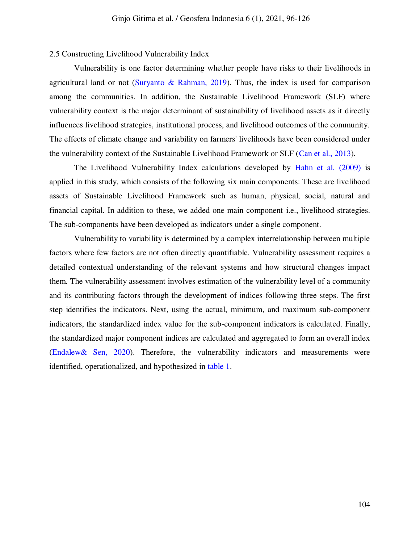#### 2.5 Constructing Livelihood Vulnerability Index

Vulnerability is one factor determining whether people have risks to their livelihoods in agricultural land or not (Suryanto  $\&$  Rahman, 2019). Thus, the index is used for comparison among the communities. In addition, the Sustainable Livelihood Framework (SLF) where vulnerability context is the major determinant of sustainability of livelihood assets as it directly influences livelihood strategies, institutional process, and livelihood outcomes of the community. The effects of climate change and variability on farmers' livelihoods have been considered under the vulnerability context of the Sustainable Livelihood Framework or SLF [\(Can et al., 2013\)](#page-27-10).

The Livelihood Vulnerability Index calculations developed by [Hahn et al](#page-28-3)*.* (2009) is applied in this study, which consists of the following six main components: These are livelihood assets of Sustainable Livelihood Framework such as human, physical, social, natural and financial capital. In addition to these, we added one main component i.e., livelihood strategies. The sub-components have been developed as indicators under a single component.

Vulnerability to variability is determined by a complex interrelationship between multiple factors where few factors are not often directly quantifiable. Vulnerability assessment requires a detailed contextual understanding of the relevant systems and how structural changes impact them. The vulnerability assessment involves estimation of the vulnerability level of a community and its contributing factors through the development of indices following three steps. The first step identifies the indicators. Next, using the actual, minimum, and maximum sub-component indicators, the standardized index value for the sub-component indicators is calculated. Finally, the standardized major component indices are calculated and aggregated to form an overall index [\(Endalew& Sen, 2020\)](#page-27-0). Therefore, the vulnerability indicators and measurements were identified, operationalized, and hypothesized in [table 1.](#page-9-0)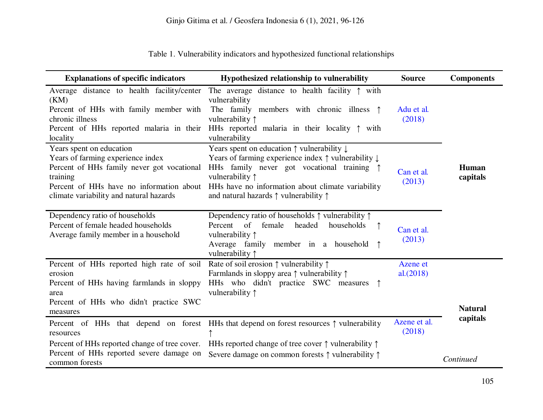<span id="page-9-1"></span><span id="page-9-0"></span>Table 1. Vulnerability indicators and hypothesized functional relationships

| <b>Explanations of specific indicators</b>                                                                                                                                                                     | Hypothesized relationship to vulnerability                                                                                                                                                                                                                                                                                          | <b>Source</b>          | <b>Components</b> |
|----------------------------------------------------------------------------------------------------------------------------------------------------------------------------------------------------------------|-------------------------------------------------------------------------------------------------------------------------------------------------------------------------------------------------------------------------------------------------------------------------------------------------------------------------------------|------------------------|-------------------|
| Average distance to health facility/center<br>(KM)<br>Percent of HHs with family member with<br>chronic illness<br>locality                                                                                    | The average distance to health facility $\uparrow$ with<br>vulnerability<br>The family members with chronic illness $\uparrow$<br>vulnerability ↑<br>Percent of HHs reported malaria in their HHs reported malaria in their locality $\uparrow$ with<br>vulnerability                                                               | Adu et al.<br>(2018)   |                   |
| Years spent on education<br>Years of farming experience index<br>Percent of HHs family never got vocational<br>training<br>Percent of HHs have no information about<br>climate variability and natural hazards | Years spent on education $\uparrow$ vulnerability $\downarrow$<br>Years of farming experience index $\uparrow$ vulnerability $\downarrow$<br>HHs family never got vocational training $\uparrow$<br>vulnerability ↑<br>HHs have no information about climate variability<br>and natural hazards $\uparrow$ vulnerability $\uparrow$ | Can et al.<br>(2013)   | Human<br>capitals |
| Dependency ratio of households<br>Percent of female headed households<br>Average family member in a household                                                                                                  | Dependency ratio of households $\uparrow$ vulnerability $\uparrow$<br>Percent of female<br>headed<br>households<br>vulnerability ↑<br>Average family member in a household<br>vulnerability $\uparrow$                                                                                                                              | Can et al.<br>(2013)   |                   |
| Percent of HHs reported high rate of soil<br>erosion<br>Percent of HHs having farmlands in sloppy<br>area                                                                                                      | Rate of soil erosion $\uparrow$ vulnerability $\uparrow$<br>Farmlands in sloppy area $\uparrow$ vulnerability $\uparrow$<br>HHs who didn't practice SWC measures<br>vulnerability $\uparrow$                                                                                                                                        | Azene et<br>al.(2018)  |                   |
| Percent of HHs who didn't practice SWC<br>measures                                                                                                                                                             |                                                                                                                                                                                                                                                                                                                                     |                        | <b>Natural</b>    |
| resources                                                                                                                                                                                                      | Percent of HHs that depend on forest HHs that depend on forest resources $\uparrow$ vulnerability                                                                                                                                                                                                                                   | Azene et al.<br>(2018) | capitals          |
| Percent of HHs reported change of tree cover.<br>Percent of HHs reported severe damage on<br>common forests                                                                                                    | HHs reported change of tree cover $\uparrow$ vulnerability $\uparrow$<br>Severe damage on common forests ↑ vulnerability ↑                                                                                                                                                                                                          |                        | Continued         |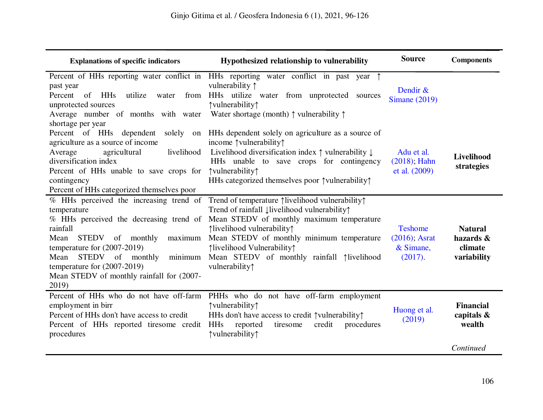| <b>Explanations of specific indicators</b>                                                                                                                                                                                                                                                                                    | Hypothesized relationship to vulnerability                                                                                                                                                                                                                                                                           | <b>Source</b>                                                | <b>Components</b>                                     |
|-------------------------------------------------------------------------------------------------------------------------------------------------------------------------------------------------------------------------------------------------------------------------------------------------------------------------------|----------------------------------------------------------------------------------------------------------------------------------------------------------------------------------------------------------------------------------------------------------------------------------------------------------------------|--------------------------------------------------------------|-------------------------------------------------------|
| past year<br>Percent of HHs<br>utilize water<br>from<br>unprotected sources<br>Average number of months with water<br>shortage per year                                                                                                                                                                                       | Percent of HHs reporting water conflict in HHs reporting water conflict in past year $\uparrow$<br>vulnerability 1<br>HHs utilize water from unprotected sources<br>↑vulnerability↑<br>Water shortage (month) $\uparrow$ vulnerability $\uparrow$                                                                    | Dendir &<br><b>Simane</b> (2019)                             |                                                       |
| Percent of HHs dependent<br>solely<br>on<br>agriculture as a source of income<br>livelihood<br>agricultural<br>Average<br>diversification index<br>Percent of HHs unable to save crops for<br>contingency<br>Percent of HHs categorized themselves poor                                                                       | HHs dependent solely on agriculture as a source of<br>income $\uparrow$ vulnerability $\uparrow$<br>Livelihood diversification index $\uparrow$ vulnerability $\downarrow$<br>HHs unable to save crops for contingency<br>↑vulnerability↑<br>HHs categorized themselves poor $\uparrow$ vulnerability $\uparrow$     | Adu et al.<br>$(2018)$ ; Hahn<br>et al. (2009)               | Livelihood<br>strategies                              |
| % HHs perceived the increasing trend of<br>temperature<br>% HHs perceived the decreasing trend of<br>rainfall<br>maximum<br><b>STEDV</b><br>of monthly<br>Mean<br>temperature for $(2007-2019)$<br>STEDV of monthly<br>Mean<br>minimum<br>temperature for $(2007-2019)$<br>Mean STEDV of monthly rainfall for (2007-<br>2019) | Trend of temperature 1ivelihood vulnerability1<br>Trend of rainfall livelihood vulnerability?<br>Mean STEDV of monthly maximum temperature<br>↑livelihood vulnerability↑<br>Mean STEDV of monthly minimum temperature<br>↑livelihood Vulnerability↑<br>Mean STEDV of monthly rainfall 1 livelihood<br>vulnerability↑ | <b>Teshome</b><br>$(2016)$ ; Asrat<br>$&$ Simane,<br>(2017). | <b>Natural</b><br>hazards &<br>climate<br>variability |
| Percent of HHs who do not have off-farm<br>employment in birr<br>Percent of HHs don't have access to credit<br>Percent of HHs reported tiresome credit<br>procedures                                                                                                                                                          | PHHs who do not have off-farm employment<br>↑vulnerability↑<br>HHs don't have access to credit $\uparrow$ vulnerability $\uparrow$<br>credit<br>procedures<br><b>HHs</b><br>reported<br>tiresome<br>↑vulnerability↑                                                                                                  | Huong et al.<br>(2019)                                       | <b>Financial</b><br>capitals &<br>wealth              |
|                                                                                                                                                                                                                                                                                                                               |                                                                                                                                                                                                                                                                                                                      |                                                              | Continued                                             |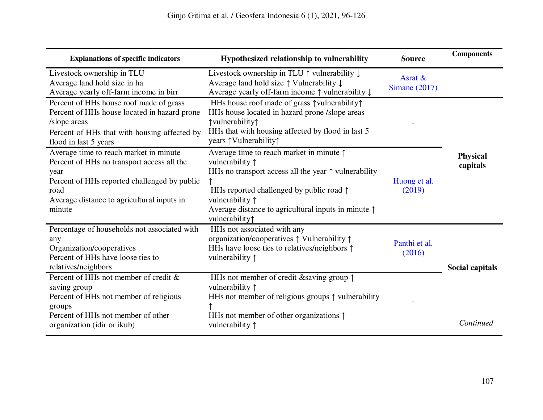| <b>Explanations of specific indicators</b>                                                                                                                                                                   | Hypothesized relationship to vulnerability                                                                                                                                                                                                                                                                       | <b>Source</b>              | <b>Components</b>           |
|--------------------------------------------------------------------------------------------------------------------------------------------------------------------------------------------------------------|------------------------------------------------------------------------------------------------------------------------------------------------------------------------------------------------------------------------------------------------------------------------------------------------------------------|----------------------------|-----------------------------|
| Livestock ownership in TLU<br>Average land hold size in ha<br>Average yearly off-farm income in birr                                                                                                         | Livestock ownership in TLU $\uparrow$ vulnerability $\downarrow$<br>Average land hold size ↑ Vulnerability ↓<br>Average yearly off-farm income ↑ vulnerability ↓                                                                                                                                                 | Asrat &<br>Simane $(2017)$ |                             |
| Percent of HHs house roof made of grass<br>Percent of HHs house located in hazard prone<br>/slope areas<br>Percent of HHs that with housing affected by<br>flood in last 5 years                             | HHs house roof made of grass $\uparrow$ vulnerability $\uparrow$<br>HHs house located in hazard prone /slope areas<br>↑vulnerability↑<br>HHs that with housing affected by flood in last 5<br>years <i>†</i> Vulnerability <i>†</i>                                                                              |                            |                             |
| Average time to reach market in minute<br>Percent of HHs no transport access all the<br>year<br>Percent of HHs reported challenged by public<br>road<br>Average distance to agricultural inputs in<br>minute | Average time to reach market in minute $\uparrow$<br>vulnerability $\uparrow$<br>HHs no transport access all the year $\uparrow$ vulnerability<br>HHs reported challenged by public road $\uparrow$<br>vulnerability $\uparrow$<br>Average distance to agricultural inputs in minute $\uparrow$<br>vulnerability | Huong et al.<br>(2019)     | <b>Physical</b><br>capitals |
| Percentage of households not associated with<br>any<br>Organization/cooperatives<br>Percent of HHs have loose ties to<br>relatives/neighbors                                                                 | HHs not associated with any<br>organization/cooperatives $\uparrow$ Vulnerability $\uparrow$<br>HHs have loose ties to relatives/neighbors $\uparrow$<br>vulnerability $\uparrow$                                                                                                                                | Panthi et al.<br>(2016)    | Social capitals             |
| Percent of HHs not member of credit &<br>saving group<br>Percent of HHs not member of religious<br>groups<br>Percent of HHs not member of other<br>organization (idir or ikub)                               | HHs not member of credit & saving group $\uparrow$<br>vulnerability $\uparrow$<br>HHs not member of religious groups $\uparrow$ vulnerability<br>HHs not member of other organizations $\uparrow$<br>vulnerability ↑                                                                                             |                            | Continued                   |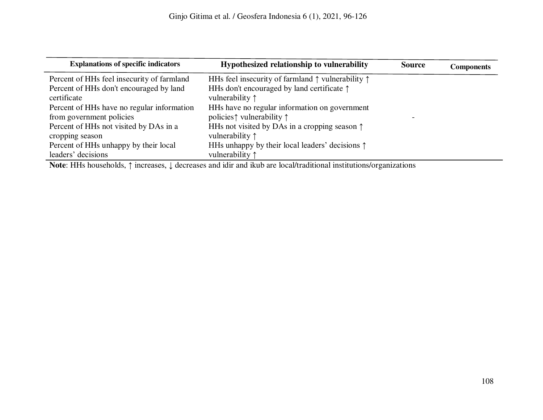| <b>Explanations of specific indicators</b>                | Hypothesized relationship to vulnerability                                         | <b>Source</b> | <b>Components</b> |
|-----------------------------------------------------------|------------------------------------------------------------------------------------|---------------|-------------------|
| Percent of HHs feel insecurity of farmland                | HHs feel insecurity of farmland $\uparrow$ vulnerability $\uparrow$                |               |                   |
| Percent of HHs don't encouraged by land<br>certificate    | HHs don't encouraged by land certificate $\uparrow$<br>vulnerability $\uparrow$    |               |                   |
| Percent of HHs have no regular information                | HHs have no regular information on government                                      |               |                   |
| from government policies                                  | policies $\uparrow$ vulnerability $\uparrow$                                       |               |                   |
| Percent of HHs not visited by DAs in a<br>cropping season | HHs not visited by DAs in a cropping season $\uparrow$<br>vulnerability $\uparrow$ |               |                   |
| Percent of HHs unhappy by their local                     | HHs unhappy by their local leaders' decisions $\uparrow$                           |               |                   |
| leaders' decisions                                        | vulnerability $\uparrow$                                                           |               |                   |

**Note**: HHs households, ↑ increases, ↓ decreases and idir and ikub are local/traditional institutions/organizations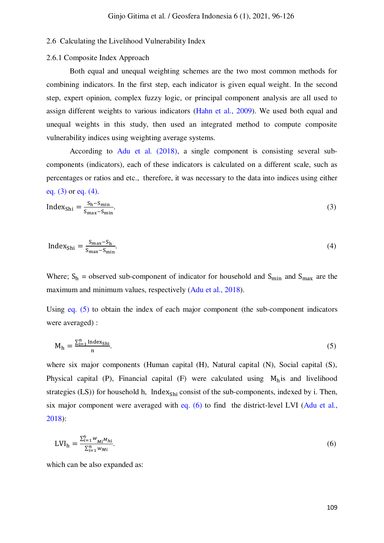# 2.6 Calculating the Livelihood Vulnerability Index

#### 2.6.1 Composite Index Approach

Both equal and unequal weighting schemes are the two most common methods for combining indicators. In the first step, each indicator is given equal weight. In the second step, expert opinion, complex fuzzy logic, or principal component analysis are all used to assign different weights to various indicators [\(Hahn et al., 2009\).](#page-28-7) We used both equal and unequal weights in this study, then used an integrated method to compute composite vulnerability indices using weighting average systems.

According to [Adu et al. \(2018\),](#page-26-11) a single component is consisting several subcomponents (indicators), each of these indicators is calculated on a different scale, such as percentages or ratios and etc., therefore, it was necessary to the data into indices using either eq.  $(3)$  or eq.  $(4)$ .

<span id="page-13-0"></span>
$$
Index_{\text{Shi}} = \frac{S_{\text{h}} - S_{\text{min}}}{S_{\text{max}} - S_{\text{min}}}.\tag{3}
$$

<span id="page-13-1"></span>
$$
Index_{\text{Shi}} = \frac{S_{\text{max}} - S_{\text{h}}}{S_{\text{max}} - S_{\text{min}}}.\tag{4}
$$

Where;  $S_h$  = observed sub-component of indicator for household and  $S_{min}$  and  $S_{max}$  are the maximum and minimum values, respectively [\(Adu et al., 2018\).](#page-26-11)

Using [eq. \(5\)](#page-13-2) to obtain the index of each major component (the sub-component indicators were averaged) :

<span id="page-13-2"></span>
$$
M_h = \frac{\sum_{i=1}^{n} Index_{\text{Sh}i}}{n}.\tag{5}
$$

where six major components (Human capital (H), Natural capital (N), Social capital (S), Physical capital (P), Financial capital (F) were calculated using  $M<sub>h</sub>$  is and livelihood strategies (LS)) for household h, Index<sub>Shi</sub> consist of the sub-components, indexed by i. Then, six major component were averaged with [eq. \(6\)](#page-13-3) to find the district-level LVI [\(Adu et al.,](#page-26-11)  [2018\):](#page-26-11)

<span id="page-13-3"></span>
$$
LVI_h = \frac{\sum_{i=1}^{6} w_{Mi} u_{hi}}{\sum_{i=1}^{n} w_{Mi}}.
$$
\n(6)

which can be also expanded as: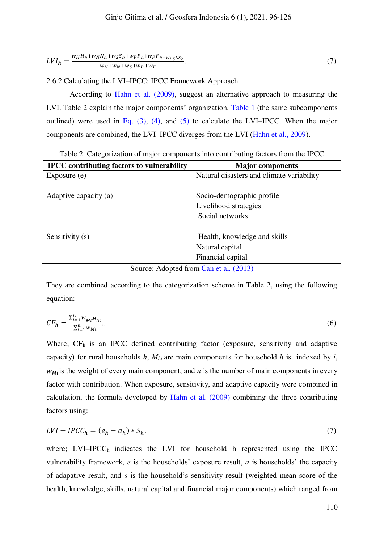$$
LVI_h = \frac{w_H H_h + w_N N_h + w_S S_h + w_P P_h + w_F F_{h + w_L S} L S_h}{w_H + w_N + w_S + w_P + w_F}.
$$
\n<sup>(7)</sup>

2.6.2 Calculating the LVI–IPCC: IPCC Framework Approach

According to [Hahn et al. \(2009\),](#page-28-7) suggest an alternative approach to measuring the LVI. Table 2 explain the major components' organization. [Table 1](#page-9-1) (the same subcomponents outlined) were used in Eq.  $(3)$ ,  $(4)$ , and  $(5)$  to calculate the LVI–IPCC. When the major components are combined, the LVI–IPCC diverges from the LVI [\(Hahn et al., 2009\)](#page-28-7).

Table 2. Categorization of major components into contributing factors from the IPCC

| <b>IPCC</b> contributing factors to vulnerability | <b>Major components</b>                   |
|---------------------------------------------------|-------------------------------------------|
| Exposure (e)                                      | Natural disasters and climate variability |
|                                                   |                                           |
| Adaptive capacity (a)                             | Socio-demographic profile                 |
|                                                   | Livelihood strategies                     |
|                                                   | Social networks                           |
| Sensitivity (s)                                   | Health, knowledge and skills              |
|                                                   | Natural capital                           |
|                                                   | Financial capital                         |
| Source: Adopted from Can et al. (2013)            |                                           |

Source: Adopted from [Can et al. \(2013\)](#page-27-13)

They are combined according to the categorization scheme in Table 2, using the following equation:

$$
CF_h = \frac{\sum_{i=1}^{n} w_{Mi} M_{hi}}{\sum_{i=1}^{n} w_{Mi}}.
$$
\n(6)

Where;  $CF<sub>h</sub>$  is an IPCC defined contributing factor (exposure, sensitivity and adaptive capacity) for rural households  $h$ ,  $M_{hi}$  are main components for household  $h$  is indexed by  $i$ ,  $W_{M}$  is the weight of every main component, and *n* is the number of main components in every factor with contribution. When exposure, sensitivity, and adaptive capacity were combined in calculation, the formula developed by [Hahn et al](#page-28-7)*.* (2009) combining the three contributing factors using:

$$
LVI - IPCC_h = (e_h - a_h) * S_h. \tag{7}
$$

where;  $LVI-IPCC<sub>h</sub>$  indicates the LVI for household h represented using the IPCC vulnerability framework, *e* is the households' exposure result, *a* is households' the capacity of adapative result, and *s* is the household's sensitivity result (weighted mean score of the health, knowledge, skills, natural capital and financial major components) which ranged from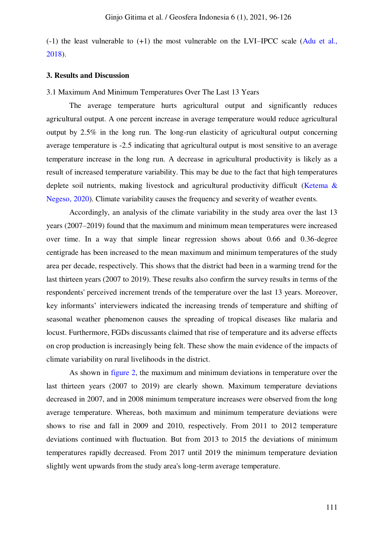$(-1)$  the least vulnerable to  $(+1)$  the most vulnerable on the LVI–IPCC scale (Adu et al., [2018\)](#page-26-11).

#### **3. Results and Discussion**

#### 3.1 Maximum And Minimum Temperatures Over The Last 13 Years

The average temperature hurts agricultural output and significantly reduces agricultural output. A one percent increase in average temperature would reduce agricultural output by 2.5% in the long run. The long-run elasticity of agricultural output concerning average temperature is -2.5 indicating that agricultural output is most sensitive to an average temperature increase in the long run. A decrease in agricultural productivity is likely as a result of increased temperature variability. This may be due to the fact that high temperatures deplete soil nutrients, making livestock and agricultural productivity difficult [\(Ketema &](#page-1-1)  [Negeso, 2020\)](#page-1-1). Climate variability causes the frequency and severity of weather events.

Accordingly, an analysis of the climate variability in the study area over the last 13 years (2007–2019) found that the maximum and minimum mean temperatures were increased over time. In a way that simple linear regression shows about 0.66 and 0.36-degree centigrade has been increased to the mean maximum and minimum temperatures of the study area per decade, respectively. This shows that the district had been in a warming trend for the last thirteen years (2007 to 2019). These results also confirm the survey results in terms of the respondents' perceived increment trends of the temperature over the last 13 years. Moreover, key informants' interviewers indicated the increasing trends of temperature and shifting of seasonal weather phenomenon causes the spreading of tropical diseases like malaria and locust. Furthermore, FGDs discussants claimed that rise of temperature and its adverse effects on crop production is increasingly being felt. These show the main evidence of the impacts of climate variability on rural livelihoods in the district.

As shown in [figure 2,](#page-16-0) the maximum and minimum deviations in temperature over the last thirteen years (2007 to 2019) are clearly shown. Maximum temperature deviations decreased in 2007, and in 2008 minimum temperature increases were observed from the long average temperature. Whereas, both maximum and minimum temperature deviations were shows to rise and fall in 2009 and 2010, respectively. From 2011 to 2012 temperature deviations continued with fluctuation. But from 2013 to 2015 the deviations of minimum temperatures rapidly decreased. From 2017 until 2019 the minimum temperature deviation slightly went upwards from the study area's long-term average temperature.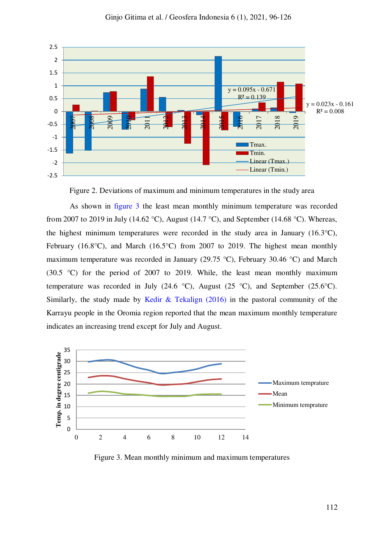

Figure 2. Deviations of maximum and minimum temperatures in the study area

<span id="page-16-0"></span>As shown in [figure 3](#page-16-1) the least mean monthly minimum temperature was recorded from 2007 to 2019 in July (14.62 °C), August (14.7 °C), and September (14.68 °C). Whereas, the highest minimum temperatures were recorded in the study area in January (16.3°C), February (16.8 $^{\circ}$ C), and March (16.5 $^{\circ}$ C) from 2007 to 2019. The highest mean monthly maximum temperature was recorded in January (29.75 °C), February 30.46 °C) and March (30.5 °C) for the period of 2007 to 2019. While, the least mean monthly maximum temperature was recorded in July (24.6 °C), August (25 °C), and September (25.6 °C). Similarly, the study made by [Kedir & Tekalign \(2016\)](#page-28-8) in the pastoral community of the Karrayu people in the Oromia region reported that the mean maximum monthly temperature indicates an increasing trend except for July and August.



<span id="page-16-1"></span>Figure 3. Mean monthly minimum and maximum temperatures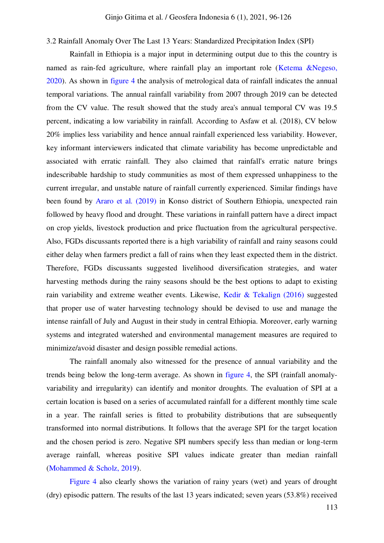3.2 Rainfall Anomaly Over The Last 13 Years: Standardized Precipitation Index (SPI)

Rainfall in Ethiopia is a major input in determining output due to this the country is named as rain-fed agriculture, where rainfall play an important role (Ketema &Negeso, [2020\)](#page-1-1). As shown in [figure 4](#page-18-0) the analysis of metrological data of rainfall indicates the annual temporal variations. The annual rainfall variability from 2007 through 2019 can be detected from the CV value. The result showed that the study area's annual temporal CV was 19.5 percent, indicating a low variability in rainfall. According to Asfaw et al. (2018), CV below 20% implies less variability and hence annual rainfall experienced less variability. However, key informant interviewers indicated that climate variability has become unpredictable and associated with erratic rainfall. They also claimed that rainfall's erratic nature brings indescribable hardship to study communities as most of them expressed unhappiness to the current irregular, and unstable nature of rainfall currently experienced. Similar findings have been found by [Araro et al. \(2019\)](#page-26-12) in Konso district of Southern Ethiopia, unexpected rain followed by heavy flood and drought. These variations in rainfall pattern have a direct impact on crop yields, livestock production and price fluctuation from the agricultural perspective. Also, FGDs discussants reported there is a high variability of rainfall and rainy seasons could either delay when farmers predict a fall of rains when they least expected them in the district. Therefore, FGDs discussants suggested livelihood diversification strategies, and water harvesting methods during the rainy seasons should be the best options to adapt to existing rain variability and extreme weather events. Likewise, [Kedir & Tekalign \(2016\)](#page-28-8) suggested that proper use of water harvesting technology should be devised to use and manage the intense rainfall of July and August in their study in central Ethiopia. Moreover, early warning systems and integrated watershed and environmental management measures are required to minimize/avoid disaster and design possible remedial actions.

The rainfall anomaly also witnessed for the presence of annual variability and the trends being below the long-term average. As shown in [figure 4,](#page-18-0) the SPI (rainfall anomalyvariability and irregularity) can identify and monitor droughts. The evaluation of SPI at a certain location is based on a series of accumulated rainfall for a different monthly time scale in a year. The rainfall series is fitted to probability distributions that are subsequently transformed into normal distributions. It follows that the average SPI for the target location and the chosen period is zero. Negative SPI numbers specify less than median or long-term average rainfall, whereas positive SPI values indicate greater than median rainfall [\(Mohammed & Scholz, 2019\)](#page-29-11).

[Figure 4](#page-18-0) also clearly shows the variation of rainy years (wet) and years of drought (dry) episodic pattern. The results of the last 13 years indicated; seven years (53.8%) received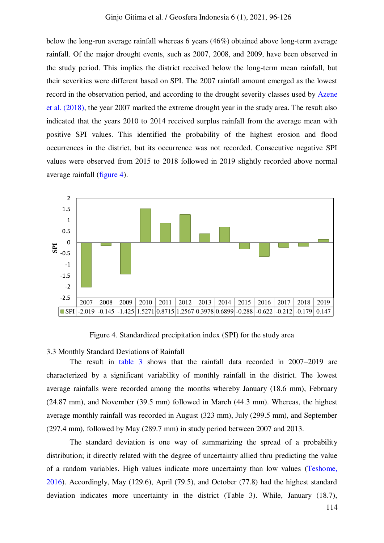below the long-run average rainfall whereas 6 years (46%) obtained above long-term average rainfall. Of the major drought events, such as 2007, 2008, and 2009, have been observed in the study period. This implies the district received below the long-term mean rainfall, but their severities were different based on SPI. The 2007 rainfall amount emerged as the lowest record in the observation period, and according to the drought severity classes used by [Azene](#page-26-13)  [et al. \(2018\),](#page-26-13) the year 2007 marked the extreme drought year in the study area. The result also indicated that the years 2010 to 2014 received surplus rainfall from the average mean with positive SPI values. This identified the probability of the highest erosion and flood occurrences in the district, but its occurrence was not recorded. Consecutive negative SPI values were observed from 2015 to 2018 followed in 2019 slightly recorded above normal average rainfall [\(figure 4\)](#page-18-0).



Figure 4. Standardized precipitation index (SPI) for the study area

<span id="page-18-0"></span>3.3 Monthly Standard Deviations of Rainfall

The result in [table 3](#page-19-0) shows that the rainfall data recorded in 2007–2019 are characterized by a significant variability of monthly rainfall in the district. The lowest average rainfalls were recorded among the months whereby January (18.6 mm), February (24.87 mm), and November (39.5 mm) followed in March (44.3 mm). Whereas, the highest average monthly rainfall was recorded in August (323 mm), July (299.5 mm), and September (297.4 mm), followed by May (289.7 mm) in study period between 2007 and 2013.

The standard deviation is one way of summarizing the spread of a probability distribution; it directly related with the degree of uncertainty allied thru predicting the value of a random variables. High values indicate more uncertainty than low values [\(Teshome,](#page-30-6)  [2016\)](#page-30-6). Accordingly, May (129.6), April (79.5), and October (77.8) had the highest standard deviation indicates more uncertainty in the district (Table 3). While, January (18.7),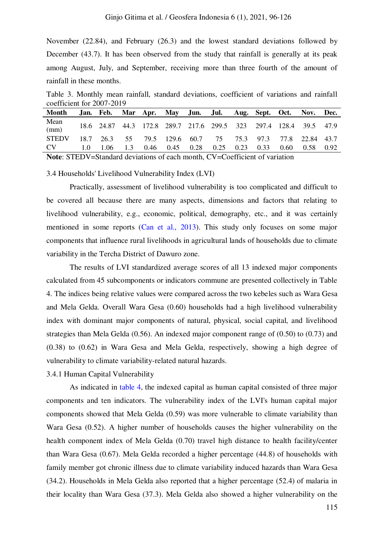November (22.84), and February (26.3) and the lowest standard deviations followed by December (43.7). It has been observed from the study that rainfall is generally at its peak among August, July, and September, receiving more than three fourth of the amount of rainfall in these months.

<span id="page-19-0"></span>Table 3. Monthly mean rainfall, standard deviations, coefficient of variations and rainfall coefficient for 2007-2019

| Month        |     | Jan. Feb. Mar Apr. May Jun. Jul.                                  |     |             |      |      |      | Aug. Sept. Oct. |                | Nov. Dec. |      |
|--------------|-----|-------------------------------------------------------------------|-----|-------------|------|------|------|-----------------|----------------|-----------|------|
| Mean<br>(mm) |     | 18.6 24.87 44.3 172.8 289.7 217.6 299.5 323 297.4 128.4 39.5 47.9 |     |             |      |      |      |                 |                |           |      |
| <b>STEDV</b> |     | 18.7 26.3 55 79.5 129.6 60.7 75 75.3 97.3 77.8 22.84 43.7         |     |             |      |      |      |                 |                |           |      |
| CV           | 1.0 | 1.06                                                              | 1.3 | $0.46$ 0.45 | 0.28 | 0.25 | 0.23 | 0.33            | $0.60^{\circ}$ | 0.58      | 0.92 |

**Note**: STEDV=Standard deviations of each month, CV=Coefficient of variation

3.4 Households' Livelihood Vulnerability Index (LVI)

Practically, assessment of livelihood vulnerability is too complicated and difficult to be covered all because there are many aspects, dimensions and factors that relating to livelihood vulnerability, e.g., economic, political, demography, etc., and it was certainly mentioned in some reports [\(Can et al., 2013\)](#page-27-13). This study only focuses on some major components that influence rural livelihoods in agricultural lands of households due to climate variability in the Tercha District of Dawuro zone.

The results of LVI standardized average scores of all 13 indexed major components calculated from 45 subcomponents or indicators commune are presented collectively in Table 4. The indices being relative values were compared across the two kebeles such as Wara Gesa and Mela Gelda. Overall Wara Gesa (0.60) households had a high livelihood vulnerability index with dominant major components of natural, physical, social capital, and livelihood strategies than Mela Gelda (0.56). An indexed major component range of (0.50) to (0.73) and (0.38) to (0.62) in Wara Gesa and Mela Gelda, respectively, showing a high degree of vulnerability to climate variability-related natural hazards.

3.4.1 Human Capital Vulnerability

As indicated in [table 4,](#page-23-0) the indexed capital as human capital consisted of three major components and ten indicators. The vulnerability index of the LVI's human capital major components showed that Mela Gelda (0.59) was more vulnerable to climate variability than Wara Gesa (0.52). A higher number of households causes the higher vulnerability on the health component index of Mela Gelda (0.70) travel high distance to health facility/center than Wara Gesa (0.67). Mela Gelda recorded a higher percentage (44.8) of households with family member got chronic illness due to climate variability induced hazards than Wara Gesa (34.2). Households in Mela Gelda also reported that a higher percentage (52.4) of malaria in their locality than Wara Gesa (37.3). Mela Gelda also showed a higher vulnerability on the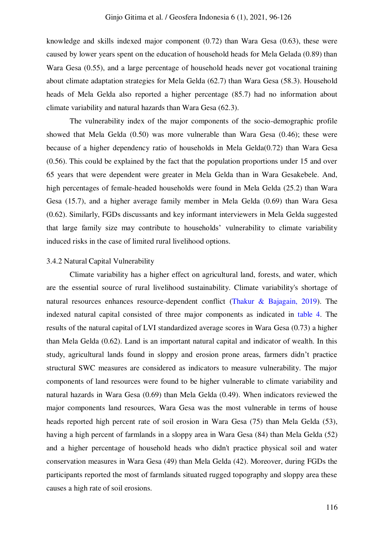knowledge and skills indexed major component (0.72) than Wara Gesa (0.63), these were caused by lower years spent on the education of household heads for Mela Gelada (0.89) than Wara Gesa (0.55), and a large percentage of household heads never got vocational training about climate adaptation strategies for Mela Gelda (62.7) than Wara Gesa (58.3). Household heads of Mela Gelda also reported a higher percentage (85.7) had no information about climate variability and natural hazards than Wara Gesa (62.3).

The vulnerability index of the major components of the socio-demographic profile showed that Mela Gelda (0.50) was more vulnerable than Wara Gesa (0.46); these were because of a higher dependency ratio of households in Mela Gelda(0.72) than Wara Gesa (0.56). This could be explained by the fact that the population proportions under 15 and over 65 years that were dependent were greater in Mela Gelda than in Wara Gesakebele. And, high percentages of female-headed households were found in Mela Gelda (25.2) than Wara Gesa (15.7), and a higher average family member in Mela Gelda (0.69) than Wara Gesa (0.62). Similarly, FGDs discussants and key informant interviewers in Mela Gelda suggested that large family size may contribute to households' vulnerability to climate variability induced risks in the case of limited rural livelihood options.

#### 3.4.2 Natural Capital Vulnerability

Climate variability has a higher effect on agricultural land, forests, and water, which are the essential source of rural livelihood sustainability. Climate variability's shortage of natural resources enhances resource-dependent conflict [\(Thakur & Bajagain, 2019\)](#page-30-7). The indexed natural capital consisted of three major components as indicated in [table 4.](#page-23-0) The results of the natural capital of LVI standardized average scores in Wara Gesa (0.73) a higher than Mela Gelda (0.62). Land is an important natural capital and indicator of wealth. In this study, agricultural lands found in sloppy and erosion prone areas, farmers didn't practice structural SWC measures are considered as indicators to measure vulnerability. The major components of land resources were found to be higher vulnerable to climate variability and natural hazards in Wara Gesa (0.69) than Mela Gelda (0.49). When indicators reviewed the major components land resources, Wara Gesa was the most vulnerable in terms of house heads reported high percent rate of soil erosion in Wara Gesa (75) than Mela Gelda (53), having a high percent of farmlands in a sloppy area in Wara Gesa (84) than Mela Gelda (52) and a higher percentage of household heads who didn't practice physical soil and water conservation measures in Wara Gesa (49) than Mela Gelda (42). Moreover, during FGDs the participants reported the most of farmlands situated rugged topography and sloppy area these causes a high rate of soil erosions.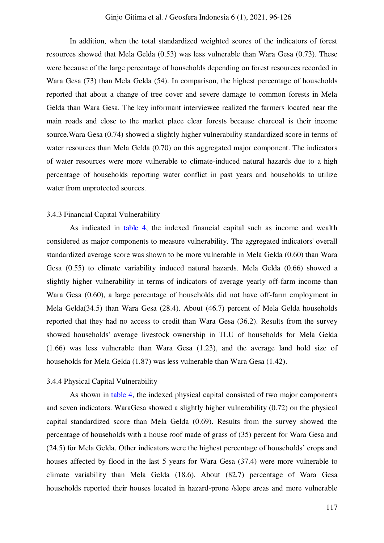In addition, when the total standardized weighted scores of the indicators of forest resources showed that Mela Gelda (0.53) was less vulnerable than Wara Gesa (0.73). These were because of the large percentage of households depending on forest resources recorded in Wara Gesa (73) than Mela Gelda (54). In comparison, the highest percentage of households reported that about a change of tree cover and severe damage to common forests in Mela Gelda than Wara Gesa. The key informant interviewee realized the farmers located near the main roads and close to the market place clear forests because charcoal is their income source.Wara Gesa (0.74) showed a slightly higher vulnerability standardized score in terms of water resources than Mela Gelda (0.70) on this aggregated major component. The indicators of water resources were more vulnerable to climate-induced natural hazards due to a high percentage of households reporting water conflict in past years and households to utilize water from unprotected sources.

### 3.4.3 Financial Capital Vulnerability

As indicated in [table 4,](#page-23-0) the indexed financial capital such as income and wealth considered as major components to measure vulnerability. The aggregated indicators' overall standardized average score was shown to be more vulnerable in Mela Gelda (0.60) than Wara Gesa (0.55) to climate variability induced natural hazards. Mela Gelda (0.66) showed a slightly higher vulnerability in terms of indicators of average yearly off-farm income than Wara Gesa (0.60), a large percentage of households did not have off-farm employment in Mela Gelda(34.5) than Wara Gesa (28.4). About (46.7) percent of Mela Gelda households reported that they had no access to credit than Wara Gesa (36.2). Results from the survey showed households' average livestock ownership in TLU of households for Mela Gelda (1.66) was less vulnerable than Wara Gesa (1.23), and the average land hold size of households for Mela Gelda (1.87) was less vulnerable than Wara Gesa (1.42).

# 3.4.4 Physical Capital Vulnerability

As shown in [table 4,](#page-23-0) the indexed physical capital consisted of two major components and seven indicators. WaraGesa showed a slightly higher vulnerability (0.72) on the physical capital standardized score than Mela Gelda (0.69). Results from the survey showed the percentage of households with a house roof made of grass of (35) percent for Wara Gesa and (24.5) for Mela Gelda. Other indicators were the highest percentage of households' crops and houses affected by flood in the last 5 years for Wara Gesa (37.4) were more vulnerable to climate variability than Mela Gelda (18.6). About (82.7) percentage of Wara Gesa households reported their houses located in hazard-prone /slope areas and more vulnerable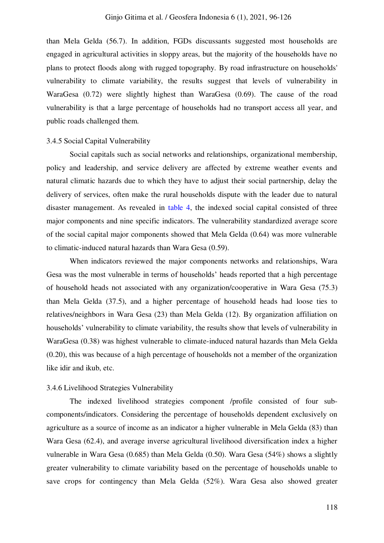than Mela Gelda (56.7). In addition, FGDs discussants suggested most households are engaged in agricultural activities in sloppy areas, but the majority of the households have no plans to protect floods along with rugged topography. By road infrastructure on households' vulnerability to climate variability, the results suggest that levels of vulnerability in WaraGesa (0.72) were slightly highest than WaraGesa (0.69). The cause of the road vulnerability is that a large percentage of households had no transport access all year, and public roads challenged them.

#### 3.4.5 Social Capital Vulnerability

Social capitals such as social networks and relationships, organizational membership, policy and leadership, and service delivery are affected by extreme weather events and natural climatic hazards due to which they have to adjust their social partnership, delay the delivery of services, often make the rural households dispute with the leader due to natural disaster management. As revealed in [table 4,](#page-23-0) the indexed social capital consisted of three major components and nine specific indicators. The vulnerability standardized average score of the social capital major components showed that Mela Gelda (0.64) was more vulnerable to climatic-induced natural hazards than Wara Gesa (0.59).

When indicators reviewed the major components networks and relationships, Wara Gesa was the most vulnerable in terms of households' heads reported that a high percentage of household heads not associated with any organization/cooperative in Wara Gesa (75.3) than Mela Gelda (37.5), and a higher percentage of household heads had loose ties to relatives/neighbors in Wara Gesa (23) than Mela Gelda (12). By organization affiliation on households' vulnerability to climate variability, the results show that levels of vulnerability in WaraGesa (0.38) was highest vulnerable to climate-induced natural hazards than Mela Gelda (0.20), this was because of a high percentage of households not a member of the organization like idir and ikub, etc.

#### 3.4.6 Livelihood Strategies Vulnerability

The indexed livelihood strategies component /profile consisted of four subcomponents/indicators. Considering the percentage of households dependent exclusively on agriculture as a source of income as an indicator a higher vulnerable in Mela Gelda (83) than Wara Gesa (62.4), and average inverse agricultural livelihood diversification index a higher vulnerable in Wara Gesa (0.685) than Mela Gelda (0.50). Wara Gesa (54%) shows a slightly greater vulnerability to climate variability based on the percentage of households unable to save crops for contingency than Mela Gelda (52%). Wara Gesa also showed greater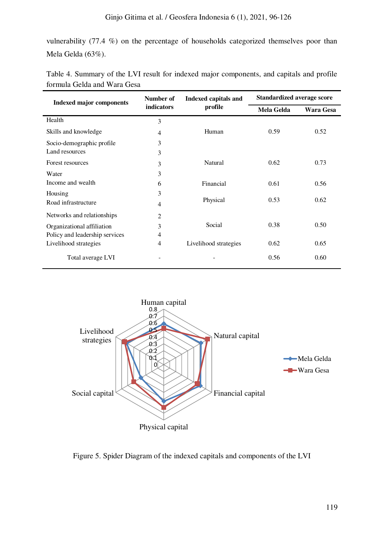# Ginjo Gitima et al. / Geosfera Indonesia 6 (1), 2021, 96-126

vulnerability (77.4 %) on the percentage of households categorized themselves poor than Mela Gelda (63%).

| <b>Indexed major components</b> | Number of      | <b>Indexed capitals and</b> | <b>Standardized average score</b> |           |  |
|---------------------------------|----------------|-----------------------------|-----------------------------------|-----------|--|
|                                 | indicators     | profile                     | Mela Gelda                        | Wara Gesa |  |
| Health                          | 3              |                             |                                   |           |  |
| Skills and knowledge            | 4              | Human                       | 0.59                              | 0.52      |  |
| Socio-demographic profile       | 3              |                             |                                   |           |  |
| Land resources                  | 3              |                             |                                   |           |  |
| Forest resources                | 3              | Natural                     | 0.62                              | 0.73      |  |
| Water                           | 3              |                             |                                   |           |  |
| Income and wealth               | 6              | Financial                   | 0.61                              | 0.56      |  |
| Housing                         | 3              |                             |                                   |           |  |
| Road infrastructure             | 4              | Physical                    | 0.53                              | 0.62      |  |
| Networks and relationships      | $\overline{2}$ |                             |                                   |           |  |
| Organizational affiliation      | 3              | Social                      | 0.38                              | 0.50      |  |
| Policy and leadership services  | 4              |                             |                                   |           |  |
| Livelihood strategies           | 4              | Livelihood strategies       | 0.62                              | 0.65      |  |
| Total average LVI               |                |                             | 0.56                              | 0.60      |  |

<span id="page-23-0"></span>

| Table 4. Summary of the LVI result for indexed major components, and capitals and profile |  |  |  |
|-------------------------------------------------------------------------------------------|--|--|--|
| formula Gelda and Wara Gesa                                                               |  |  |  |



Figure 5. Spider Diagram of the indexed capitals and components of the LVI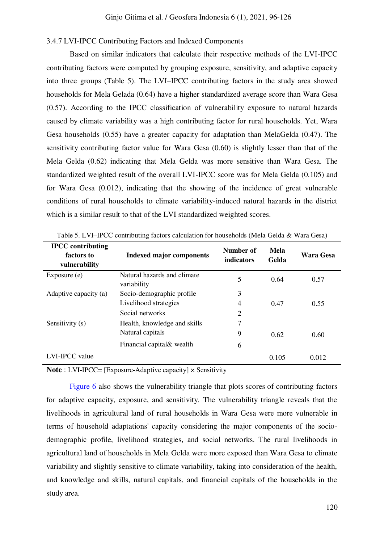# 3.4.7 LVI-IPCC Contributing Factors and Indexed Components

Based on similar indicators that calculate their respective methods of the LVI-IPCC contributing factors were computed by grouping exposure, sensitivity, and adaptive capacity into three groups (Table 5). The LVI–IPCC contributing factors in the study area showed households for Mela Gelada (0.64) have a higher standardized average score than Wara Gesa (0.57). According to the IPCC classification of vulnerability exposure to natural hazards caused by climate variability was a high contributing factor for rural households. Yet, Wara Gesa households (0.55) have a greater capacity for adaptation than MelaGelda (0.47). The sensitivity contributing factor value for Wara Gesa (0.60) is slightly lesser than that of the Mela Gelda (0.62) indicating that Mela Gelda was more sensitive than Wara Gesa. The standardized weighted result of the overall LVI-IPCC score was for Mela Gelda (0.105) and for Wara Gesa (0.012), indicating that the showing of the incidence of great vulnerable conditions of rural households to climate variability-induced natural hazards in the district which is a similar result to that of the LVI standardized weighted scores.

| <b>IPCC</b> contributing<br>factors to<br>vulnerability | <b>Indexed major components</b>            | Number of<br><i>indicators</i> | <b>Mela</b><br>Gelda | Wara Gesa |
|---------------------------------------------------------|--------------------------------------------|--------------------------------|----------------------|-----------|
| Exposure $(e)$                                          | Natural hazards and climate<br>variability | 5                              | 0.64                 | 0.57      |
| Adaptive capacity (a)                                   | Socio-demographic profile                  | 3                              |                      |           |
|                                                         | Livelihood strategies                      | 4                              | 0.47                 | 0.55      |
|                                                         | Social networks                            | $\overline{2}$                 |                      |           |
| Sensitivity (s)                                         | Health, knowledge and skills               | 7                              |                      |           |
|                                                         | Natural capitals                           | 9                              | 0.62                 | 0.60      |
|                                                         | Financial capital & wealth                 | 6                              |                      |           |
| LVI-IPCC value                                          |                                            |                                | 0.105                | 0.012     |

Table 5. LVI–IPCC contributing factors calculation for households (Mela Gelda & Wara Gesa)

**Note** : LVI-IPCC= [Exposure-Adaptive capacity] × Sensitivity

[Figure 6](#page-25-0) also shows the vulnerability triangle that plots scores of contributing factors for adaptive capacity, exposure, and sensitivity. The vulnerability triangle reveals that the livelihoods in agricultural land of rural households in Wara Gesa were more vulnerable in terms of household adaptations' capacity considering the major components of the sociodemographic profile, livelihood strategies, and social networks. The rural livelihoods in agricultural land of households in Mela Gelda were more exposed than Wara Gesa to climate variability and slightly sensitive to climate variability, taking into consideration of the health, and knowledge and skills, natural capitals, and financial capitals of the households in the study area.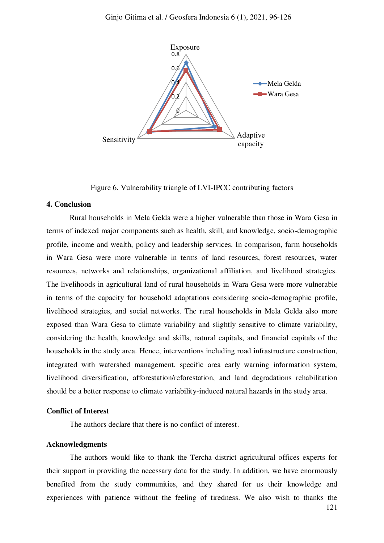

Figure 6. Vulnerability triangle of LVI-IPCC contributing factors

#### <span id="page-25-0"></span>**4. Conclusion**

Rural households in Mela Gelda were a higher vulnerable than those in Wara Gesa in terms of indexed major components such as health, skill, and knowledge, socio-demographic profile, income and wealth, policy and leadership services. In comparison, farm households in Wara Gesa were more vulnerable in terms of land resources, forest resources, water resources, networks and relationships, organizational affiliation, and livelihood strategies. The livelihoods in agricultural land of rural households in Wara Gesa were more vulnerable in terms of the capacity for household adaptations considering socio-demographic profile, livelihood strategies, and social networks. The rural households in Mela Gelda also more exposed than Wara Gesa to climate variability and slightly sensitive to climate variability, considering the health, knowledge and skills, natural capitals, and financial capitals of the households in the study area. Hence, interventions including road infrastructure construction, integrated with watershed management, specific area early warning information system, livelihood diversification, afforestation/reforestation, and land degradations rehabilitation should be a better response to climate variability-induced natural hazards in the study area.

#### **Conflict of Interest**

The authors declare that there is no conflict of interest.

## **Acknowledgments**

The authors would like to thank the Tercha district agricultural offices experts for their support in providing the necessary data for the study. In addition, we have enormously benefited from the study communities, and they shared for us their knowledge and experiences with patience without the feeling of tiredness. We also wish to thanks the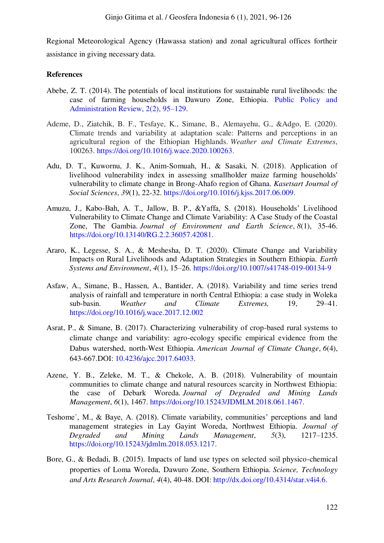<span id="page-26-8"></span>Regional Meteorological Agency (Hawassa station) and zonal agricultural offices fortheir assistance in giving necessary data.

# <span id="page-26-7"></span>**References**

- <span id="page-26-2"></span>Abebe, Z. T. (2014). The potentials of local institutions for sustainable rural livelihoods: the case of farming households in Dawuro Zone, Ethiopia. [Public Policy and](http://pparnet.com/journals/ppar/Vol_2_No_2_June_2014/6.pdf)  [Administration Review, 2\(2\), 95](http://pparnet.com/journals/ppar/Vol_2_No_2_June_2014/6.pdf)–129.
- <span id="page-26-0"></span>Ademe, D., Ziatchik, B. F., Tesfaye, K., Simane, B., Alemayehu, G., &Adgo, E. (2020). Climate trends and variability at adaptation scale: Patterns and perceptions in an agricultural region of the Ethiopian Highlands. *Weather and Climate Extremes*, 100263. [https://doi.org/10.1016/j.wace.2020.100263.](https://doi.org/10.1016/j.wace.2020.100263)
- <span id="page-26-11"></span><span id="page-26-10"></span><span id="page-26-4"></span>Adu, D. T., Kuwornu, J. K., Anim-Somuah, H., & Sasaki, N. (2018). Application of livelihood vulnerability index in assessing smallholder maize farming households' vulnerability to climate change in Brong-Ahafo region of Ghana. *Kasetsart Journal of Social Sciences*, *39*(1), 22-32[. https://doi.org/10.1016/j.kjss.2017.06.009.](https://doi.org/10.1016/j.kjss.2017.06.009)
- <span id="page-26-9"></span><span id="page-26-1"></span>Amuzu, J., Kabo-Bah, A. T., Jallow, B. P., &Yaffa, S. (2018). Households' Livelihood Vulnerability to Climate Change and Climate Variability: A Case Study of the Coastal Zone, The Gambia. *Journal of Environment and Earth Science*, *8*(1), 35-46. [https://doi.org/10.13140/RG.2.2.36057.42081.](https://doi.org/10.13140/RG.2.2.36057.42081)
- <span id="page-26-12"></span>Araro, K., Legesse, S. A., & Meshesha, D. T. (2020). Climate Change and Variability Impacts on Rural Livelihoods and Adaptation Strategies in Southern Ethiopia. *Earth Systems and Environment*, *4*(1), 15–26.<https://doi.org/10.1007/s41748-019-00134-9>
- Asfaw, A., Simane, B., Hassen, A., Bantider, A. (2018). Variability and time series trend analysis of rainfall and temperature in north Central Ethiopia: a case study in Woleka sub-basin. *Weather and Climate Extremes,* 19, 29–41. <https://doi.org/10.1016/j.wace.2017.12.002>
- <span id="page-26-5"></span>Asrat, P., & Simane, B. (2017). Characterizing vulnerability of crop-based rural systems to climate change and variability: agro-ecology specific empirical evidence from the Dabus watershed, north-West Ethiopia. *American Journal of Climate Change*, *6*(4), 643-667.DOI: [10.4236/ajcc.2017.64033.](https://doi.org/10.4236/ajcc.2017.64033)
- <span id="page-26-13"></span><span id="page-26-3"></span>Azene, Y. B., Zeleke, M. T., & Chekole, A. B. (2018). Vulnerability of mountain communities to climate change and natural resources scarcity in Northwest Ethiopia: the case of Debark Woreda. *Journal of Degraded and Mining Lands Management*, *6*(1), 1467. [https://doi.org/10.15243/JDMLM.2018.061.1467.](https://doi.org/10.15243/JDMLM.2018.061.1467)
- <span id="page-26-6"></span>Teshome`, M., & Baye, A. (2018). Climate variability, communities' perceptions and land management strategies in Lay Gayint Woreda, Northwest Ethiopia. *Journal of Degraded and Mining Lands Management*, *5*(3), 1217–1235. [https://doi.org/10.15243/jdmlm.2018.053.1217.](https://doi.org/10.15243/jdmlm.2018.053.1217)
- Bore, G., & Bedadi, B. (2015). Impacts of land use types on selected soil physico-chemical properties of Loma Woreda, Dawuro Zone, Southern Ethiopia. *Science, Technology and Arts Research Journal*, *4*(4), 40-48. DOI: [http://dx.doi.org/10.4314/star.v4i4.6.](http://dx.doi.org/10.4314/star.v4i4.6)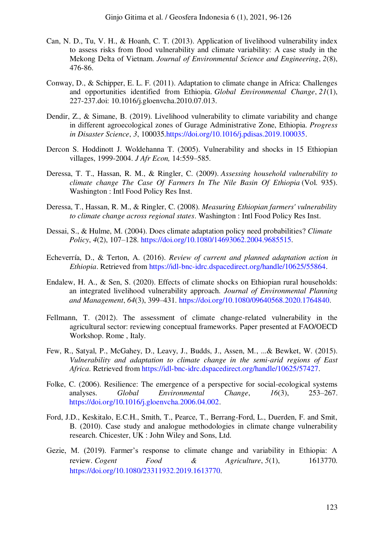- <span id="page-27-13"></span><span id="page-27-12"></span><span id="page-27-11"></span><span id="page-27-10"></span><span id="page-27-4"></span>Can, N. D., Tu, V. H., & Hoanh, C. T. (2013). Application of livelihood vulnerability index to assess risks from flood vulnerability and climate variability: A case study in the Mekong Delta of Vietnam. *Journal of Environmental Science and Engineering*, *2*(8), 476-86.
- <span id="page-27-2"></span>Conway, D., & Schipper, E. L. F. (2011). Adaptation to climate change in Africa: Challenges and opportunities identified from Ethiopia. *Global Environmental Change*, *21*(1), 227-237.doi: 10.1016/j.gloenvcha.2010.07.013.
- <span id="page-27-8"></span>Dendir, Z., & Simane, B. (2019). Livelihood vulnerability to climate variability and change in different agroecological zones of Gurage Administrative Zone, Ethiopia. *Progress in Disaster Science*, *3*, 100035[.https://doi.org/10.1016/j.pdisas.2019.100035.](https://doi.org/10.1016/j.pdisas.2019.100035)
- <span id="page-27-7"></span>Dercon S. Hoddinott J. Woldehanna T. (2005). Vulnerability and shocks in 15 Ethiopian villages, 1999-2004. *J Afr Econ,* 14:559–585.
- Deressa, T. T., Hassan, R. M., & Ringler, C. (2009). *Assessing household vulnerability to climate change The Case Of Farmers In The Nile Basin Of Ethiopia* (Vol. 935). Washington : Intl Food Policy Res Inst.
- <span id="page-27-5"></span>Deressa, T., Hassan, R. M., & Ringler, C. (2008). *Measuring Ethiopian farmers' vulnerability to climate change across regional states*. Washington : Intl Food Policy Res Inst.
- Dessai, S., & Hulme, M. (2004). Does climate adaptation policy need probabilities? *Climate Policy*, *4*(2), 107–128. [https://doi.org/10.1080/14693062.2004.9685515.](https://doi.org/10.1080/14693062.2004.9685515)
- <span id="page-27-0"></span>Echeverría, D., & Terton, A. (2016). *Review of current and planned adaptation action in Ethiopia*. Retrieved from [https://idl-bnc-idrc.dspacedirect.org/handle/10625/55864.](https://idl-bnc-idrc.dspacedirect.org/handle/10625/55864)
- <span id="page-27-6"></span>Endalew, H. A., & Sen, S. (2020). Effects of climate shocks on Ethiopian rural households: an integrated livelihood vulnerability approach. *Journal of Environmental Planning and Management*, *64*(3), 399–431.<https://doi.org/10.1080/09640568.2020.1764840>.
- <span id="page-27-1"></span>Fellmann, T. (2012). The assessment of climate change-related vulnerability in the agricultural sector: reviewing conceptual frameworks. Paper presented at FAO/OECD Workshop. Rome , Italy.
- Few, R., Satyal, P., McGahey, D., Leavy, J., Budds, J., Assen, M., ...& Bewket, W. (2015). *Vulnerability and adaptation to climate change in the semi-arid regions of East Africa*. Retrieved from [https://idl-bnc-idrc.dspacedirect.org/handle/10625/57427.](https://idl-bnc-idrc.dspacedirect.org/handle/10625/57427)
- <span id="page-27-9"></span>Folke, C. (2006). Resilience: The emergence of a perspective for social-ecological systems analyses. *Global Environmental Change*, *16*(3), 253–267. [https://doi.org/10.1016/j.gloenvcha.2006.04.002.](https://doi.org/10.1016/j.gloenvcha.2006.04.002)
- <span id="page-27-3"></span>Ford, J.D., Keskitalo, E.C.H., Smith, T., Pearce, T., Berrang-Ford, L., Duerden, F. and Smit, B. (2010). Case study and analogue methodologies in climate change vulnerability research. Chicester, UK : John Wiley and Sons, Ltd.
- Gezie, M. (2019). Farmer's response to climate change and variability in Ethiopia: A review. *Cogent Food & Agriculture*, *5*(1), 1613770. [https://doi.org/10.1080/23311932.2019.1613770.](https://doi.org/10.1080/23311932.2019.1613770)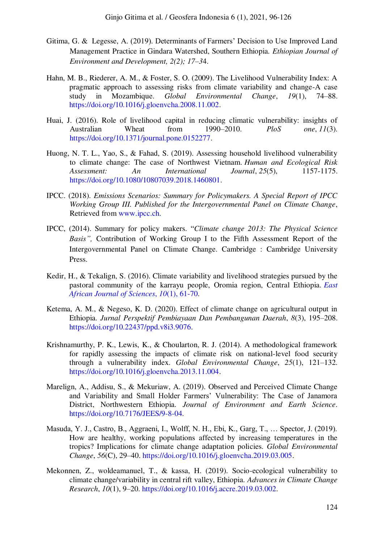- <span id="page-28-6"></span><span id="page-28-5"></span><span id="page-28-4"></span><span id="page-28-3"></span>Gitima, G. & Legesse, A. (2019). Determinants of Farmers' Decision to Use Improved Land Management Practice in Gindara Watershed, Southern Ethiopia. *Ethiopian Journal of Environment and Development, 2(2); 17–3*4.
- <span id="page-28-7"></span>Hahn, M. B., Riederer, A. M., & Foster, S. O. (2009). The Livelihood Vulnerability Index: A pragmatic approach to assessing risks from climate variability and change-A case study in Mozambique. *Global Environmental Change*, *19*(1), 74–88. [https://doi.org/10.1016/j.gloenvcha.2008.11.002.](https://doi.org/10.1016/j.gloenvcha.2008.11.002)
- Huai, J. (2016). Role of livelihood capital in reducing climatic vulnerability: insights of Australian Wheat from 1990–2010. *PloS one*, *11*(3). [https://doi.org/10.1371/journal.pone.0152277.](https://doi.org/10.1371/journal.pone.0152277)
- <span id="page-28-2"></span>Huong, N. T. L., Yao, S., & Fahad, S. (2019). Assessing household livelihood vulnerability to climate change: The case of Northwest Vietnam. *Human and Ecological Risk Assessment: An International Journal*, *25*(5), 1157-1175. [https://doi.org/10.1080/10807039.2018.1460801.](https://doi.org/10.1080/10807039.2018.1460801)
- <span id="page-28-0"></span>IPCC. (2018). *Emissions Scenarios: Summary for Policymakers. A Special Report of IPCC Working Group III. Published for the Intergovernmental Panel on Climate Change*, Retrieved from [www.ipcc.ch.](http://www.ipcc.ch/)
- IPCC, (2014). Summary for policy makers. "*Climate change 2013: The Physical Science Basis",* Contribution of Working Group I to the Fifth Assessment Report of the Intergovernmental Panel on Climate Change. Cambridge : Cambridge University Press.
- <span id="page-28-8"></span>Kedir, H., & Tekalign, S. (2016). Climate variability and livelihood strategies pursued by the pastoral community of the karrayu people, Oromia region, Central Ethiopia. *[East](https://www.ajol.info/index.php/eajsci/article/view/157469)  [African Journal of Sciences](https://www.ajol.info/index.php/eajsci/article/view/157469)*, *10*(1), 61-70.
- Ketema, A. M., & Negeso, K. D. (2020). Effect of climate change on agricultural output in Ethiopia. *Jurnal Perspektif Pembiayaan Dan Pembangunan Daerah*, *8*(3), 195–208. [https://doi.org/10.22437/ppd.v8i3.9076.](https://doi.org/10.22437/ppd.v8i3.9076)
- Krishnamurthy, P. K., Lewis, K., & Choularton, R. J. (2014). A methodological framework for rapidly assessing the impacts of climate risk on national-level food security through a vulnerability index. *Global Environmental Change*, *25*(1), 121–132. [https://doi.org/10.1016/j.gloenvcha.2013.11.004.](https://doi.org/10.1016/j.gloenvcha.2013.11.004)
- <span id="page-28-1"></span>Marelign, A., Addisu, S., & Mekuriaw, A. (2019). Observed and Perceived Climate Change and Variability and Small Holder Farmers' Vulnerability: The Case of Janamora District, Northwestern Ethiopia. *Journal of Environment and Earth Science*. [https://doi.org/10.7176/JEES/9-8-04.](https://doi.org/10.7176/JEES/9-8-04)
- Masuda, Y. J., Castro, B., Aggraeni, I., Wolff, N. H., Ebi, K., Garg, T., … Spector, J. (2019). How are healthy, working populations affected by increasing temperatures in the tropics? Implications for climate change adaptation policies. *Global Environmental Change*, *56*(C), 29–40. [https://doi.org/10.1016/j.gloenvcha.2019.03.005.](https://doi.org/10.1016/j.gloenvcha.2019.03.005)
- Mekonnen, Z., woldeamanuel, T., & kassa, H. (2019). Socio-ecological vulnerability to climate change/variability in central rift valley, Ethiopia. *Advances in Climate Change Research*, *10*(1), 9–20. [https://doi.org/10.1016/j.accre.2019.03.002.](https://doi.org/10.1016/j.accre.2019.03.002)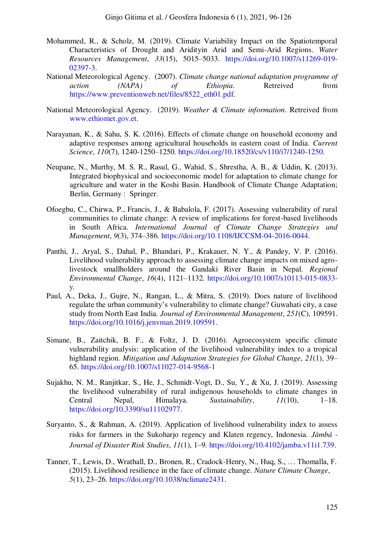- <span id="page-29-11"></span><span id="page-29-3"></span>Mohammed, R., & Scholz, M. (2019). Climate Variability Impact on the Spatiotemporal Characteristics of Drought and Aridityin Arid and Semi-Arid Regions. *Water Resources Management*, *33*(15), 5015–5033. [https://doi.org/10.1007/s11269-019-](https://doi.org/10.1007/s11269-019-02397-3) [02397-3.](https://doi.org/10.1007/s11269-019-02397-3)
- <span id="page-29-8"></span>National Meteorological Agency. (2007). *Climate change national adaptation programme of action (NAPA) of Ethiopia*. Retreived from [https://www.preventionweb.net/files/8522\\_eth01.pdf.](https://www.preventionweb.net/files/8522_eth01.pdf)
- <span id="page-29-10"></span><span id="page-29-7"></span>National Meteorological Agency. (2019). *Weather & Climate information*. Retreived from [www.ethiomet.gov.et.](http://www.ethiomet.gov.et/)
- <span id="page-29-4"></span>Narayanan, K., & Sahu, S. K. (2016). Effects of climate change on household economy and adaptive responses among agricultural households in eastern coast of India. *Current Science*, *110*(7), 1240-1250–1250. [https://doi.org/10.18520/cs/v110/i7/1240-1250.](https://doi.org/10.18520/cs/v110/i7/1240-1250)
- <span id="page-29-2"></span>Neupane, N., Murthy, M. S. R., Rasul, G., Wahid, S., Shrestha, A. B., & Uddin, K. (2013). Integrated biophysical and socioeconomic model for adaptation to climate change for agriculture and water in the Koshi Basin. Handbook of Climate Change Adaptation; Berlin, Germany : Springer.
- Ofoegbu, C., Chirwa, P., Francis, J., & Babalola, F. (2017). Assessing vulnerability of rural communities to climate change: A review of implications for forest-based livelihoods in South Africa. *International Journal of Climate Change Strategies and Management*, *9*(3), 374–386. [https://doi.org/10.1108/IJCCSM-04-2016-0044.](https://doi.org/10.1108/IJCCSM-04-2016-0044)
- <span id="page-29-1"></span>Panthi, J., Aryal, S., Dahal, P., Bhandari, P., Krakauer, N. Y., & Pandey, V. P. (2016). Livelihood vulnerability approach to assessing climate change impacts on mixed agrolivestock smallholders around the Gandaki River Basin in Nepal. *Regional Environmental Change*, *16*(4), 1121–1132. [https://doi.org/10.1007/s10113-015-0833](https://doi.org/10.1007/s10113-015-0833-y) [y.](https://doi.org/10.1007/s10113-015-0833-y)
- <span id="page-29-6"></span>Paul, A., Deka, J., Gujre, N., Rangan, L., & Mitra, S. (2019). Does nature of livelihood regulate the urban community's vulnerability to climate change? Guwahati city, a case study from North East India. *Journal of Environmental Management*, *251*(C), 109591. [https://doi.org/10.1016/j.jenvman.2019.109591.](https://doi.org/10.1016/j.jenvman.2019.109591)
- <span id="page-29-5"></span>Simane, B., Zaitchik, B. F., & Foltz, J. D. (2016). Agroecosystem specific climate vulnerability analysis: application of the livelihood vulnerability index to a tropical highland region. *Mitigation and Adaptation Strategies for Global Change*, *21*(1), 39– 65.<https://doi.org/10.1007/s11027-014-9568-1>
- <span id="page-29-9"></span>Sujakhu, N. M., Ranjitkar, S., He, J., Schmidt-Vogt, D., Su, Y., & Xu, J. (2019). Assessing the livelihood vulnerability of rural indigenous households to climate changes in Central Nepal, Himalaya. *Sustainability*, *11*(10), 1–18. [https://doi.org/10.3390/su11102977.](https://doi.org/10.3390/su11102977)
- <span id="page-29-0"></span>Suryanto, S., & Rahman, A. (2019). Application of livelihood vulnerability index to assess risks for farmers in the Sukoharjo regency and Klaten regency, Indonesia. *Jàmbá - Journal of Disaster Risk Studies*, *11*(1), 1–9. [https://doi.org/10.4102/jamba.v11i1.739.](https://doi.org/10.4102/jamba.v11i1.739)
- Tanner, T., Lewis, D., Wrathall, D., Bronen, R., Cradock-Henry, N., Huq, S., … Thomalla, F. (2015). Livelihood resilience in the face of climate change. *Nature Climate Change*, *5*(1), 23–26. [https://doi.org/10.1038/nclimate2431.](https://doi.org/10.1038/nclimate2431)